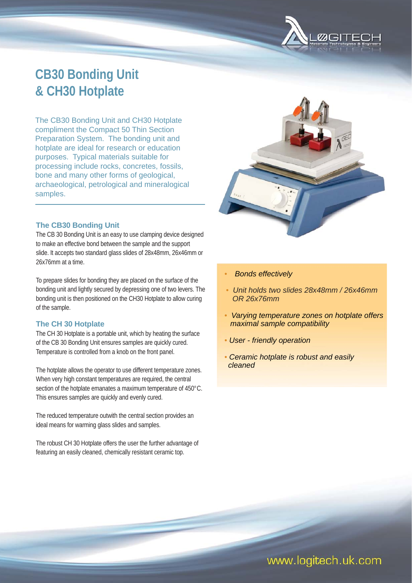

# **CB30 Bonding Unit & CH30 Hotplate**

The CB30 Bonding Unit and CH30 Hotplate compliment the Compact 50 Thin Section Preparation System. The bonding unit and hotplate are ideal for research or education purposes. Typical materials suitable for processing include rocks, concretes, fossils, bone and many other forms of geological, archaeological, petrological and mineralogical samples.

## **The CB30 Bonding Unit**

The CB 30 Bonding Unit is an easy to use clamping device designed to make an effective bond between the sample and the support slide. It accepts two standard glass slides of 28x48mm, 26x46mm or 26x76mm at a time.

To prepare slides for bonding they are placed on the surface of the bonding unit and lightly secured by depressing one of two levers. The bonding unit is then positioned on the CH30 Hotplate to allow curing of the sample.

### **The CH 30 Hotplate**

The CH 30 Hotplate is a portable unit, which by heating the surface of the CB 30 Bonding Unit ensures samples are quickly cured. Temperature is controlled from a knob on the front panel.

The hotplate allows the operator to use different temperature zones. When very high constant temperatures are required, the central section of the hotplate emanates a maximum temperature of 450°C. This ensures samples are quickly and evenly cured.

The reduced temperature outwith the central section provides an ideal means for warming glass slides and samples.

The robust CH 30 Hotplate offers the user the further advantage of featuring an easily cleaned, chemically resistant ceramic top.



- *Bonds effectively*
- *Unit holds two slides 28x48mm / 26x46mm OR 26x76mm*
- *Varying temperature zones on hotplate offers maximal sample compatibility*
- *User friendly operation*
- *Ceramic hotplate is robust and easily cleaned*

www.logitech.uk.com